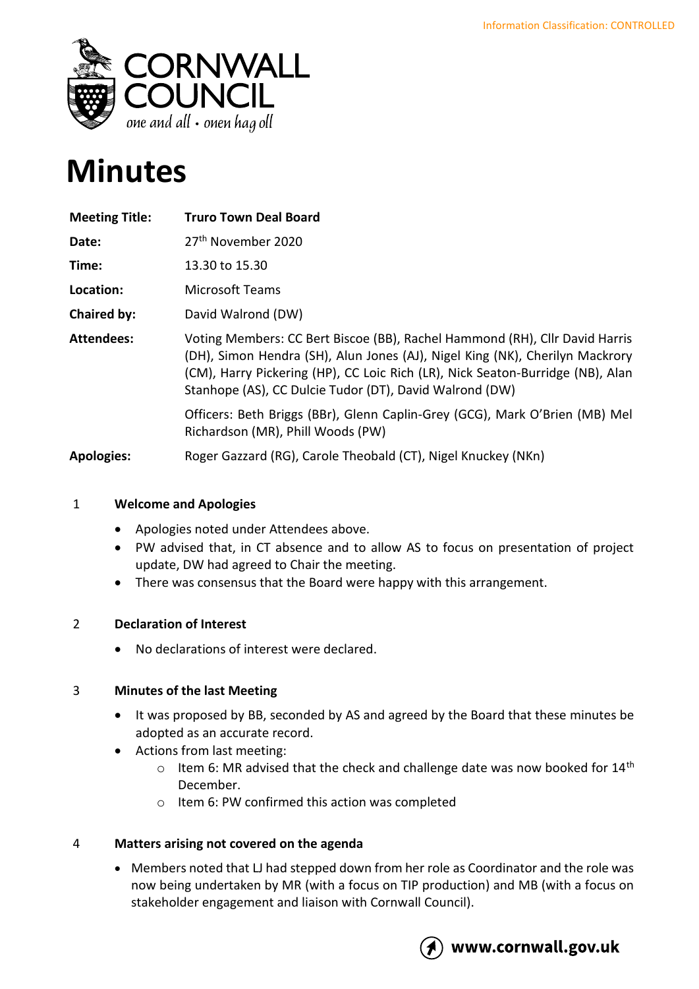

# **Minutes**

| <b>Meeting Title:</b> | <b>Truro Town Deal Board</b>                                                                                                                                                                                                                                                                             |
|-----------------------|----------------------------------------------------------------------------------------------------------------------------------------------------------------------------------------------------------------------------------------------------------------------------------------------------------|
| Date:                 | 27 <sup>th</sup> November 2020                                                                                                                                                                                                                                                                           |
| Time:                 | 13.30 to 15.30                                                                                                                                                                                                                                                                                           |
| Location:             | <b>Microsoft Teams</b>                                                                                                                                                                                                                                                                                   |
| <b>Chaired by:</b>    | David Walrond (DW)                                                                                                                                                                                                                                                                                       |
| <b>Attendees:</b>     | Voting Members: CC Bert Biscoe (BB), Rachel Hammond (RH), Cllr David Harris<br>(DH), Simon Hendra (SH), Alun Jones (AJ), Nigel King (NK), Cherilyn Mackrory<br>(CM), Harry Pickering (HP), CC Loic Rich (LR), Nick Seaton-Burridge (NB), Alan<br>Stanhope (AS), CC Dulcie Tudor (DT), David Walrond (DW) |
|                       | Officers: Beth Briggs (BBr), Glenn Caplin-Grey (GCG), Mark O'Brien (MB) Mel<br>Richardson (MR), Phill Woods (PW)                                                                                                                                                                                         |
| <b>Apologies:</b>     | Roger Gazzard (RG), Carole Theobald (CT), Nigel Knuckey (NKn)                                                                                                                                                                                                                                            |

# 1 **Welcome and Apologies**

- Apologies noted under Attendees above.
- PW advised that, in CT absence and to allow AS to focus on presentation of project update, DW had agreed to Chair the meeting.
- There was consensus that the Board were happy with this arrangement.

# 2 **Declaration of Interest**

• No declarations of interest were declared.

# 3 **Minutes of the last Meeting**

- It was proposed by BB, seconded by AS and agreed by the Board that these minutes be adopted as an accurate record.
- Actions from last meeting:
	- $\circ$  Item 6: MR advised that the check and challenge date was now booked for 14<sup>th</sup> December.
	- o Item 6: PW confirmed this action was completed

# 4 **Matters arising not covered on the agenda**

• Members noted that LJ had stepped down from her role as Coordinator and the role was now being undertaken by MR (with a focus on TIP production) and MB (with a focus on stakeholder engagement and liaison with Cornwall Council).



# www.cornwall.gov.uk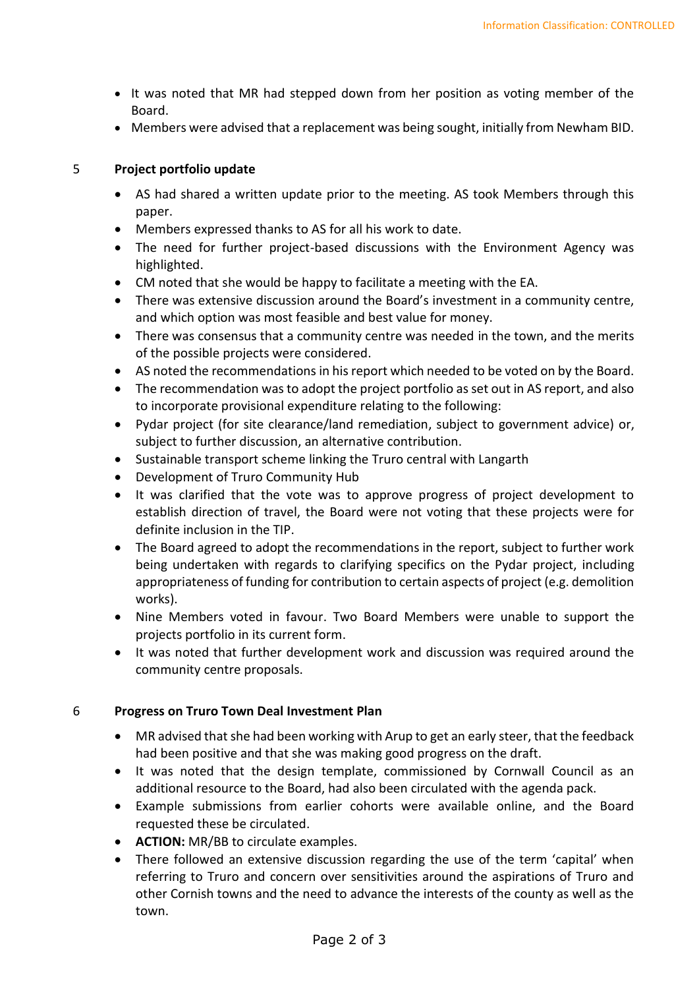- It was noted that MR had stepped down from her position as voting member of the Board.
- Members were advised that a replacement was being sought, initially from Newham BID.

#### 5 **Project portfolio update**

- AS had shared a written update prior to the meeting. AS took Members through this paper.
- Members expressed thanks to AS for all his work to date.
- The need for further project-based discussions with the Environment Agency was highlighted.
- CM noted that she would be happy to facilitate a meeting with the EA.
- There was extensive discussion around the Board's investment in a community centre, and which option was most feasible and best value for money.
- There was consensus that a community centre was needed in the town, and the merits of the possible projects were considered.
- AS noted the recommendations in his report which needed to be voted on by the Board.
- The recommendation was to adopt the project portfolio as set out in AS report, and also to incorporate provisional expenditure relating to the following:
- Pydar project (for site clearance/land remediation, subject to government advice) or, subject to further discussion, an alternative contribution.
- Sustainable transport scheme linking the Truro central with Langarth
- Development of Truro Community Hub
- It was clarified that the vote was to approve progress of project development to establish direction of travel, the Board were not voting that these projects were for definite inclusion in the TIP.
- The Board agreed to adopt the recommendations in the report, subject to further work being undertaken with regards to clarifying specifics on the Pydar project, including appropriateness of funding for contribution to certain aspects of project (e.g. demolition works).
- Nine Members voted in favour. Two Board Members were unable to support the projects portfolio in its current form.
- It was noted that further development work and discussion was required around the community centre proposals.

# 6 **Progress on Truro Town Deal Investment Plan**

- MR advised that she had been working with Arup to get an early steer, that the feedback had been positive and that she was making good progress on the draft.
- It was noted that the design template, commissioned by Cornwall Council as an additional resource to the Board, had also been circulated with the agenda pack.
- Example submissions from earlier cohorts were available online, and the Board requested these be circulated.
- **ACTION:** MR/BB to circulate examples.
- There followed an extensive discussion regarding the use of the term 'capital' when referring to Truro and concern over sensitivities around the aspirations of Truro and other Cornish towns and the need to advance the interests of the county as well as the town.